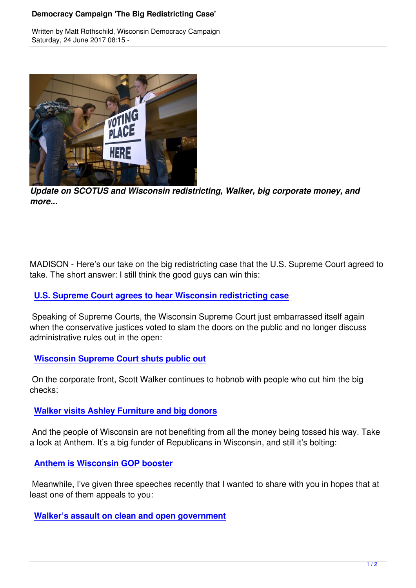

*Update on SCOTUS and Wisconsin redistricting, Walker, big corporate money, and more...*

MADISON - Here's our take on the big redistricting case that the U.S. Supreme Court agreed to take. The short answer: I still think the good guys can win this:

## **U.S. Supreme Court agrees to hear Wisconsin redistricting case**

 Speaking of Supreme Courts, the Wisconsin Supreme Court just embarrassed itself again [when the conservative justices voted to slam the doors on the public a](http://wisdc.clearsender.com/tracker.php?link=2144343913::7497::2906008)nd no longer discuss administrative rules out in the open:

**Wisconsin Supreme Court shuts public out**

 On the corporate front, Scott Walker continues to hobnob with people who cut him the big c[hecks:](http://wisdc.clearsender.com/tracker.php?link=-1280415151::7500::2906008)

## **Walker visits Ashley Furniture and big donors**

 And the people of Wisconsin are not benefiting from all the money being tossed his way. Take [a look at Anthem. It's a big funder of Republicans in](http://wisdc.clearsender.com/tracker.php?link=1496374309::7501::2906008) Wisconsin, and still it's bolting:

## **Anthem is Wisconsin GOP booster**

 Meanwhile, I've given three speeches recently that I wanted to share with you in hopes that at l[east one of them appeals to you:](http://wisdc.clearsender.com/tracker.php?link=-709324996::7502::2906008)

**Walker's assault on clean and open government**